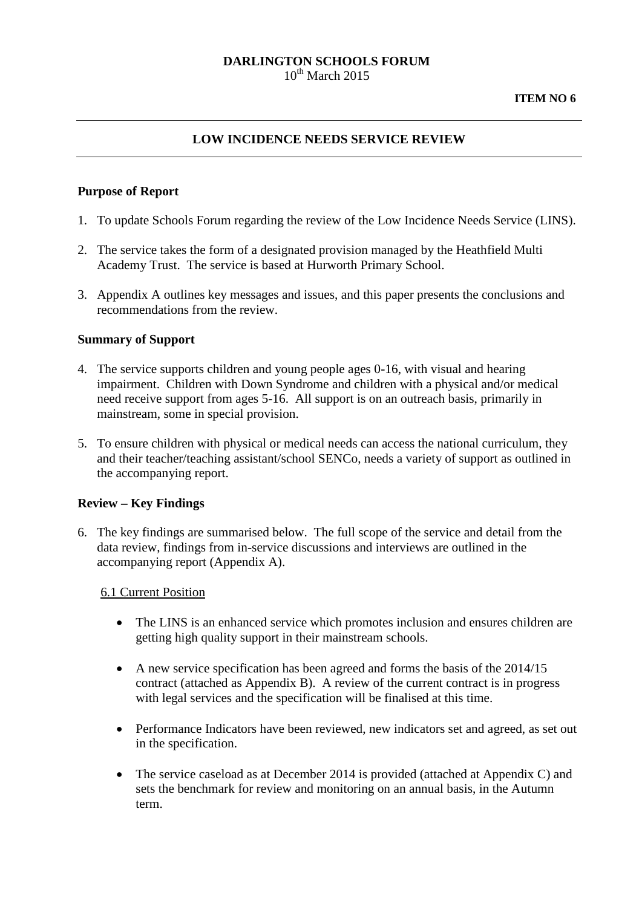#### **DARLINGTON SCHOOLS FORUM**  $10^{th}$  March 2015

### **LOW INCIDENCE NEEDS SERVICE REVIEW**

#### **Purpose of Report**

- 1. To update Schools Forum regarding the review of the Low Incidence Needs Service (LINS).
- 2. The service takes the form of a designated provision managed by the Heathfield Multi Academy Trust. The service is based at Hurworth Primary School.
- 3. Appendix A outlines key messages and issues, and this paper presents the conclusions and recommendations from the review.

#### **Summary of Support**

- 4. The service supports children and young people ages 0-16, with visual and hearing impairment. Children with Down Syndrome and children with a physical and/or medical need receive support from ages 5-16. All support is on an outreach basis, primarily in mainstream, some in special provision.
- 5. To ensure children with physical or medical needs can access the national curriculum, they and their teacher/teaching assistant/school SENCo, needs a variety of support as outlined in the accompanying report.

#### **Review – Key Findings**

6. The key findings are summarised below. The full scope of the service and detail from the data review, findings from in-service discussions and interviews are outlined in the accompanying report (Appendix A).

#### 6.1 Current Position

- The LINS is an enhanced service which promotes inclusion and ensures children are getting high quality support in their mainstream schools.
- A new service specification has been agreed and forms the basis of the 2014/15 contract (attached as Appendix B). A review of the current contract is in progress with legal services and the specification will be finalised at this time.
- Performance Indicators have been reviewed, new indicators set and agreed, as set out in the specification.
- The service caseload as at December 2014 is provided (attached at Appendix C) and sets the benchmark for review and monitoring on an annual basis, in the Autumn term.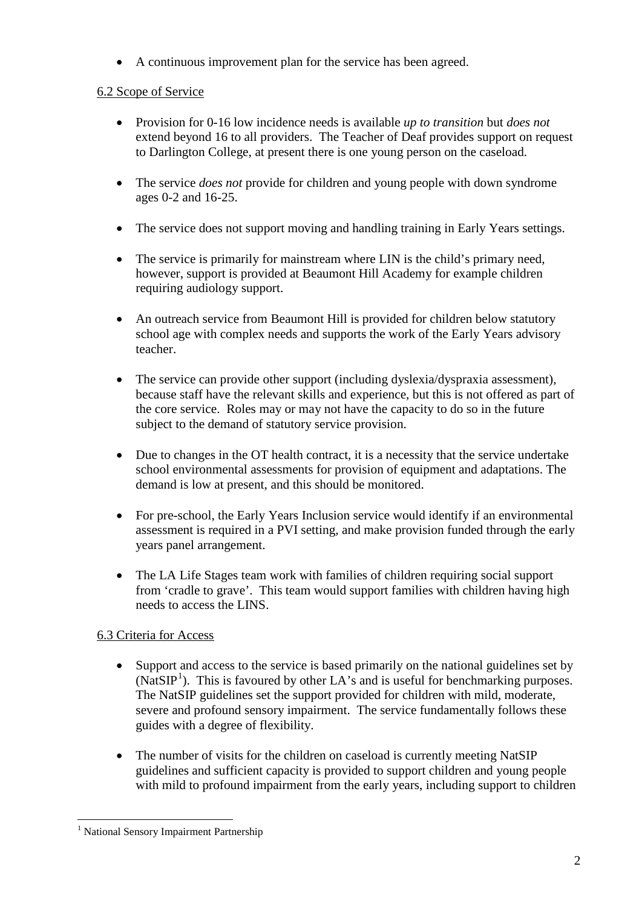• A continuous improvement plan for the service has been agreed.

# 6.2 Scope of Service

- Provision for 0-16 low incidence needs is available *up to transition* but *does not* extend beyond 16 to all providers. The Teacher of Deaf provides support on request to Darlington College, at present there is one young person on the caseload.
- The service *does not* provide for children and young people with down syndrome ages 0-2 and 16-25.
- The service does not support moving and handling training in Early Years settings.
- The service is primarily for mainstream where LIN is the child's primary need, however, support is provided at Beaumont Hill Academy for example children requiring audiology support.
- An outreach service from Beaumont Hill is provided for children below statutory school age with complex needs and supports the work of the Early Years advisory teacher.
- The service can provide other support (including dyslexia/dyspraxia assessment), because staff have the relevant skills and experience, but this is not offered as part of the core service. Roles may or may not have the capacity to do so in the future subject to the demand of statutory service provision.
- Due to changes in the OT health contract, it is a necessity that the service undertake school environmental assessments for provision of equipment and adaptations. The demand is low at present, and this should be monitored.
- For pre-school, the Early Years Inclusion service would identify if an environmental assessment is required in a PVI setting, and make provision funded through the early years panel arrangement.
- The LA Life Stages team work with families of children requiring social support from 'cradle to grave'. This team would support families with children having high needs to access the LINS.

# 6.3 Criteria for Access

- Support and access to the service is based primarily on the national guidelines set by (NatSIP<sup>[1](#page-1-0)</sup>). This is favoured by other LA's and is useful for benchmarking purposes. The NatSIP guidelines set the support provided for children with mild, moderate, severe and profound sensory impairment. The service fundamentally follows these guides with a degree of flexibility.
- The number of visits for the children on caseload is currently meeting NatSIP guidelines and sufficient capacity is provided to support children and young people with mild to profound impairment from the early years, including support to children

<span id="page-1-0"></span><sup>&</sup>lt;sup>1</sup> National Sensory Impairment Partnership -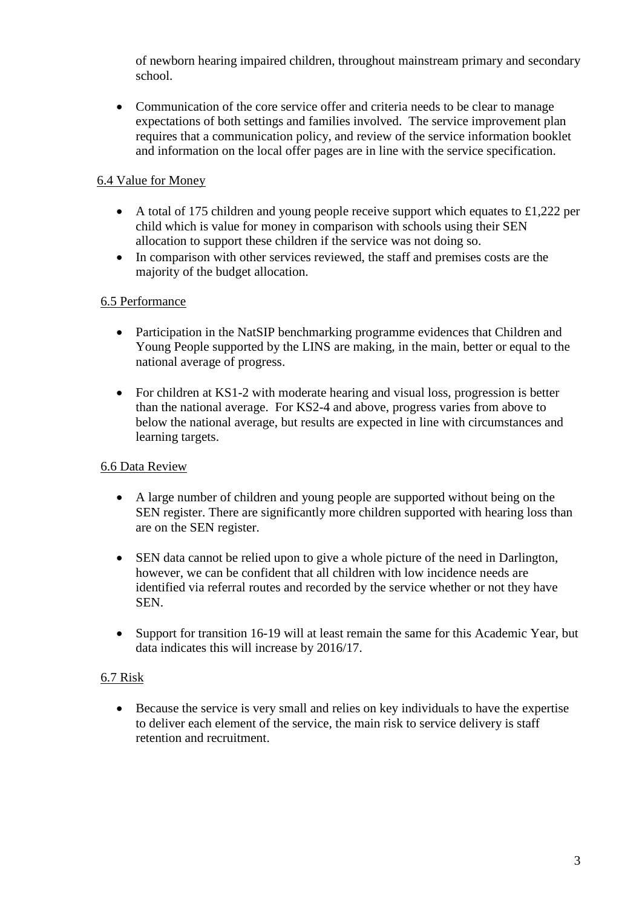of newborn hearing impaired children, throughout mainstream primary and secondary school.

• Communication of the core service offer and criteria needs to be clear to manage expectations of both settings and families involved. The service improvement plan requires that a communication policy, and review of the service information booklet and information on the local offer pages are in line with the service specification.

# 6.4 Value for Money

- A total of 175 children and young people receive support which equates to £1,222 per child which is value for money in comparison with schools using their SEN allocation to support these children if the service was not doing so.
- In comparison with other services reviewed, the staff and premises costs are the majority of the budget allocation.

## 6.5 Performance

- Participation in the NatSIP benchmarking programme evidences that Children and Young People supported by the LINS are making, in the main, better or equal to the national average of progress.
- For children at KS1-2 with moderate hearing and visual loss, progression is better than the national average. For KS2-4 and above, progress varies from above to below the national average, but results are expected in line with circumstances and learning targets.

## 6.6 Data Review

- A large number of children and young people are supported without being on the SEN register. There are significantly more children supported with hearing loss than are on the SEN register.
- SEN data cannot be relied upon to give a whole picture of the need in Darlington, however, we can be confident that all children with low incidence needs are identified via referral routes and recorded by the service whether or not they have SEN.
- Support for transition 16-19 will at least remain the same for this Academic Year, but data indicates this will increase by 2016/17.

## 6.7 Risk

• Because the service is very small and relies on key individuals to have the expertise to deliver each element of the service, the main risk to service delivery is staff retention and recruitment.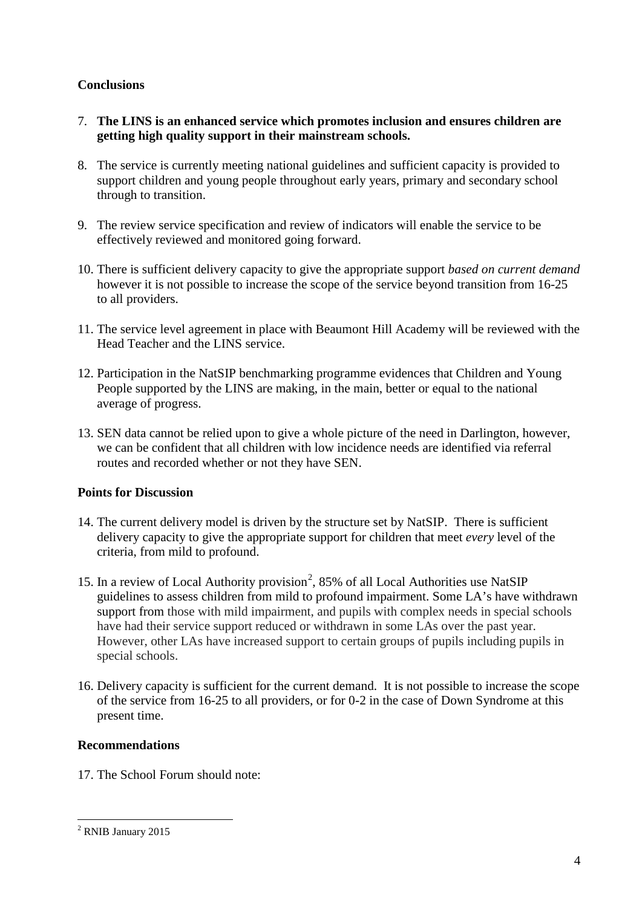### **Conclusions**

- 7. **The LINS is an enhanced service which promotes inclusion and ensures children are getting high quality support in their mainstream schools.**
- 8. The service is currently meeting national guidelines and sufficient capacity is provided to support children and young people throughout early years, primary and secondary school through to transition.
- 9. The review service specification and review of indicators will enable the service to be effectively reviewed and monitored going forward.
- 10. There is sufficient delivery capacity to give the appropriate support *based on current demand* however it is not possible to increase the scope of the service beyond transition from 16-25 to all providers.
- 11. The service level agreement in place with Beaumont Hill Academy will be reviewed with the Head Teacher and the LINS service.
- 12. Participation in the NatSIP benchmarking programme evidences that Children and Young People supported by the LINS are making, in the main, better or equal to the national average of progress.
- 13. SEN data cannot be relied upon to give a whole picture of the need in Darlington, however, we can be confident that all children with low incidence needs are identified via referral routes and recorded whether or not they have SEN.

## **Points for Discussion**

- 14. The current delivery model is driven by the structure set by NatSIP. There is sufficient delivery capacity to give the appropriate support for children that meet *every* level of the criteria, from mild to profound.
- 15. In a review of Local Authority provision<sup>[2](#page-3-0)</sup>, 85% of all Local Authorities use NatSIP guidelines to assess children from mild to profound impairment. Some LA's have withdrawn support from those with mild impairment, and pupils with complex needs in special schools have had their service support reduced or withdrawn in some LAs over the past year. However, other LAs have increased support to certain groups of pupils including pupils in special schools.
- 16. Delivery capacity is sufficient for the current demand. It is not possible to increase the scope of the service from 16-25 to all providers, or for 0-2 in the case of Down Syndrome at this present time.

### **Recommendations**

17. The School Forum should note:

<span id="page-3-0"></span><sup>&</sup>lt;sup>2</sup> RNIB January 2015 -